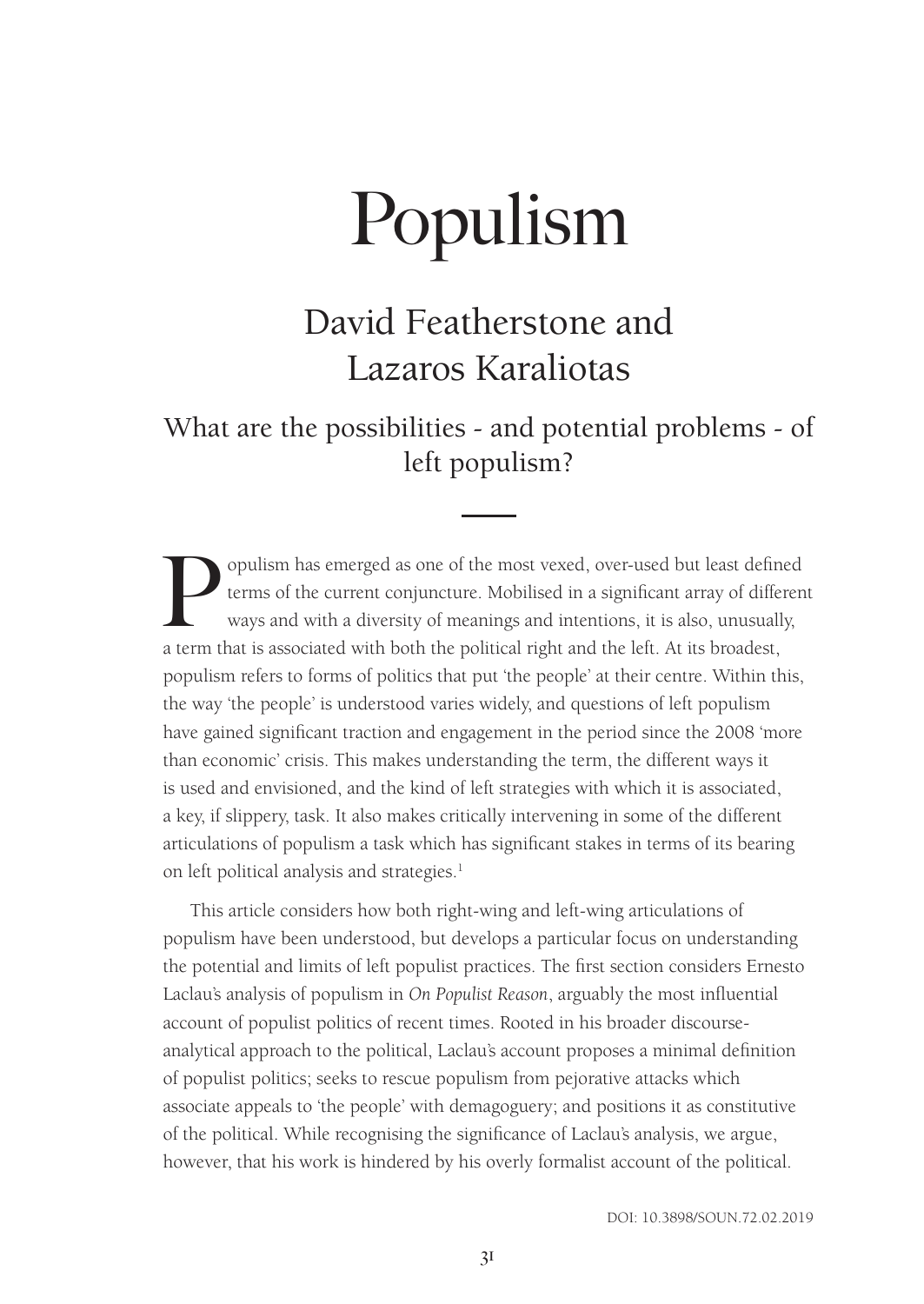## David Featherstone and Lazaros Karaliotas

What are the possibilities - and potential problems - of left populism?

Populism has emerged as one of the most vexed, over-used but least defined<br>terms of the current conjuncture. Mobilised in a significant array of differen<br>ways and with a diversity of meanings and intentions, it is also, un terms of the current conjuncture. Mobilised in a significant array of different ways and with a diversity of meanings and intentions, it is also, unusually, a term that is associated with both the political right and the left. At its broadest, populism refers to forms of politics that put 'the people' at their centre. Within this, the way 'the people' is understood varies widely, and questions of left populism have gained significant traction and engagement in the period since the 2008 'more than economic' crisis. This makes understanding the term, the different ways it is used and envisioned, and the kind of left strategies with which it is associated, a key, if slippery, task. It also makes critically intervening in some of the different articulations of populism a task which has significant stakes in terms of its bearing on left political analysis and strategies.<sup>1</sup>

This article considers how both right-wing and left-wing articulations of populism have been understood, but develops a particular focus on understanding the potential and limits of left populist practices. The first section considers Ernesto Laclau's analysis of populism in *On Populist Reason*, arguably the most influential account of populist politics of recent times. Rooted in his broader discourseanalytical approach to the political, Laclau's account proposes a minimal definition of populist politics; seeks to rescue populism from pejorative attacks which associate appeals to 'the people' with demagoguery; and positions it as constitutive of the political. While recognising the significance of Laclau's analysis, we argue, however, that his work is hindered by his overly formalist account of the political.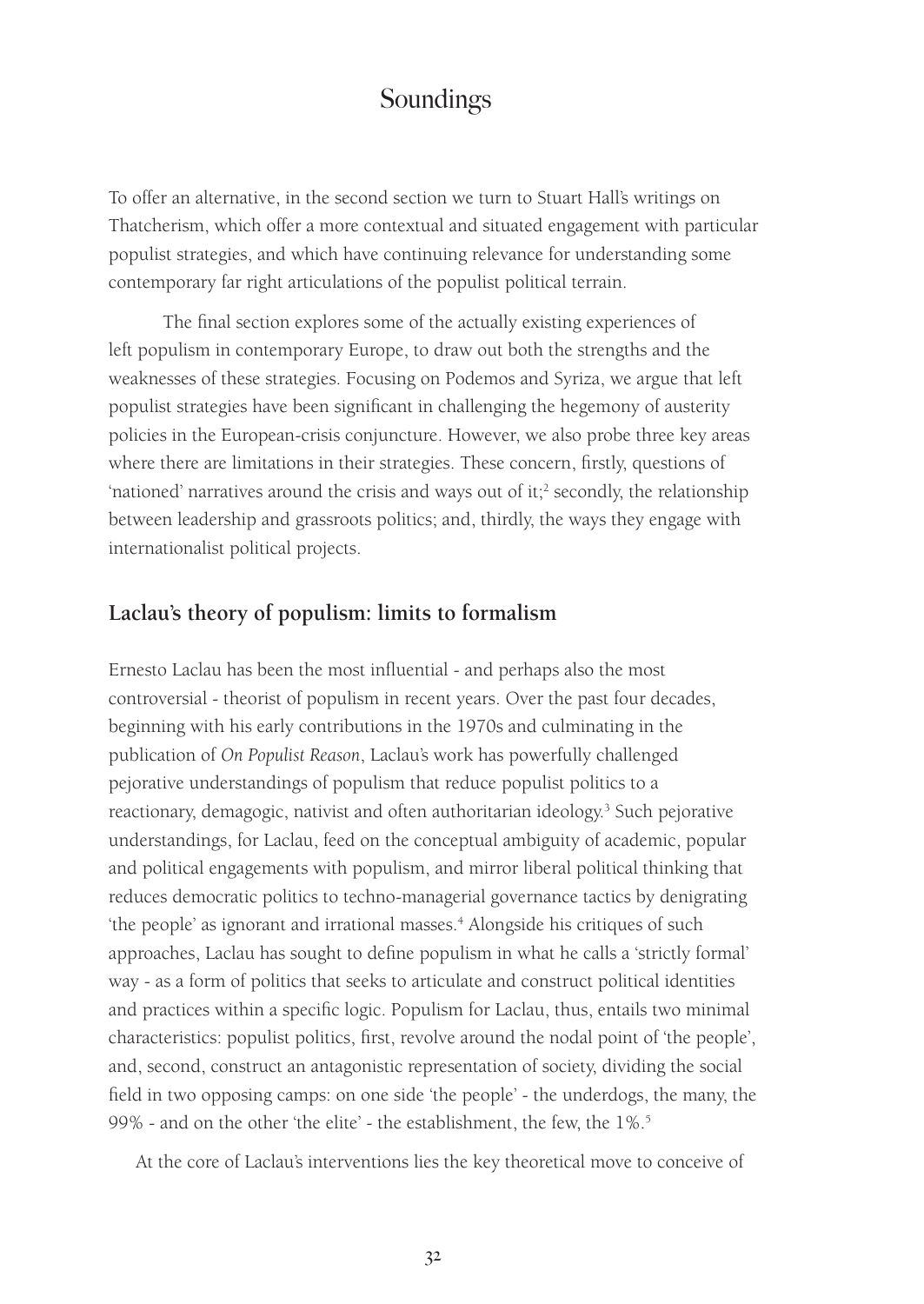To offer an alternative, in the second section we turn to Stuart Hall's writings on Thatcherism, which offer a more contextual and situated engagement with particular populist strategies, and which have continuing relevance for understanding some contemporary far right articulations of the populist political terrain.

The final section explores some of the actually existing experiences of left populism in contemporary Europe, to draw out both the strengths and the weaknesses of these strategies. Focusing on Podemos and Syriza, we argue that left populist strategies have been significant in challenging the hegemony of austerity policies in the European-crisis conjuncture. However, we also probe three key areas where there are limitations in their strategies. These concern, firstly, questions of 'nationed' narratives around the crisis and ways out of it;<sup>2</sup> secondly, the relationship between leadership and grassroots politics; and, thirdly, the ways they engage with internationalist political projects.

#### **Laclau's theory of populism: limits to formalism**

Ernesto Laclau has been the most influential - and perhaps also the most controversial - theorist of populism in recent years. Over the past four decades, beginning with his early contributions in the 1970s and culminating in the publication of *On Populist Reason*, Laclau's work has powerfully challenged pejorative understandings of populism that reduce populist politics to a reactionary, demagogic, nativist and often authoritarian ideology.<sup>3</sup> Such pejorative understandings, for Laclau, feed on the conceptual ambiguity of academic, popular and political engagements with populism, and mirror liberal political thinking that reduces democratic politics to techno-managerial governance tactics by denigrating 'the people' as ignorant and irrational masses.<sup>4</sup> Alongside his critiques of such approaches, Laclau has sought to define populism in what he calls a 'strictly formal' way - as a form of politics that seeks to articulate and construct political identities and practices within a specific logic. Populism for Laclau, thus, entails two minimal characteristics: populist politics, first, revolve around the nodal point of 'the people', and, second, construct an antagonistic representation of society, dividing the social field in two opposing camps: on one side 'the people' - the underdogs, the many, the 99% - and on the other 'the elite' - the establishment, the few, the 1%.5

At the core of Laclau's interventions lies the key theoretical move to conceive of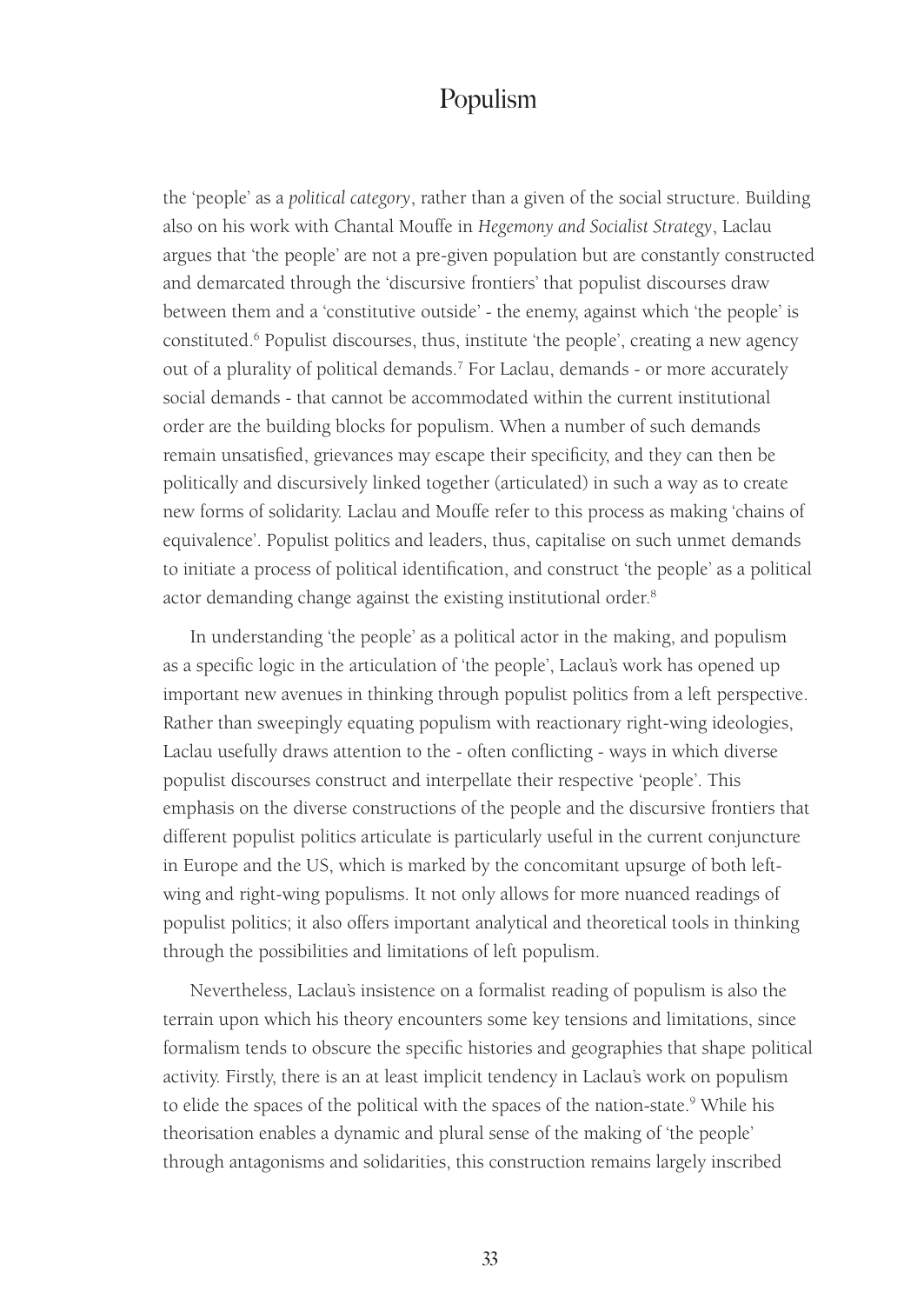the 'people' as a *political category*, rather than a given of the social structure. Building also on his work with Chantal Mouffe in *Hegemony and Socialist Strategy*, Laclau argues that 'the people' are not a pre-given population but are constantly constructed and demarcated through the 'discursive frontiers' that populist discourses draw between them and a 'constitutive outside' - the enemy, against which 'the people' is constituted.<sup>6</sup> Populist discourses, thus, institute 'the people', creating a new agency out of a plurality of political demands.<sup>7</sup> For Laclau, demands - or more accurately social demands - that cannot be accommodated within the current institutional order are the building blocks for populism. When a number of such demands remain unsatisfied, grievances may escape their specificity, and they can then be politically and discursively linked together (articulated) in such a way as to create new forms of solidarity. Laclau and Mouffe refer to this process as making 'chains of equivalence'. Populist politics and leaders, thus, capitalise on such unmet demands to initiate a process of political identification, and construct 'the people' as a political actor demanding change against the existing institutional order.<sup>8</sup>

In understanding 'the people' as a political actor in the making, and populism as a specific logic in the articulation of 'the people', Laclau's work has opened up important new avenues in thinking through populist politics from a left perspective. Rather than sweepingly equating populism with reactionary right-wing ideologies, Laclau usefully draws attention to the - often conflicting - ways in which diverse populist discourses construct and interpellate their respective 'people'. This emphasis on the diverse constructions of the people and the discursive frontiers that different populist politics articulate is particularly useful in the current conjuncture in Europe and the US, which is marked by the concomitant upsurge of both leftwing and right-wing populisms. It not only allows for more nuanced readings of populist politics; it also offers important analytical and theoretical tools in thinking through the possibilities and limitations of left populism.

Nevertheless, Laclau's insistence on a formalist reading of populism is also the terrain upon which his theory encounters some key tensions and limitations, since formalism tends to obscure the specific histories and geographies that shape political activity. Firstly, there is an at least implicit tendency in Laclau's work on populism to elide the spaces of the political with the spaces of the nation-state.<sup>9</sup> While his theorisation enables a dynamic and plural sense of the making of 'the people' through antagonisms and solidarities, this construction remains largely inscribed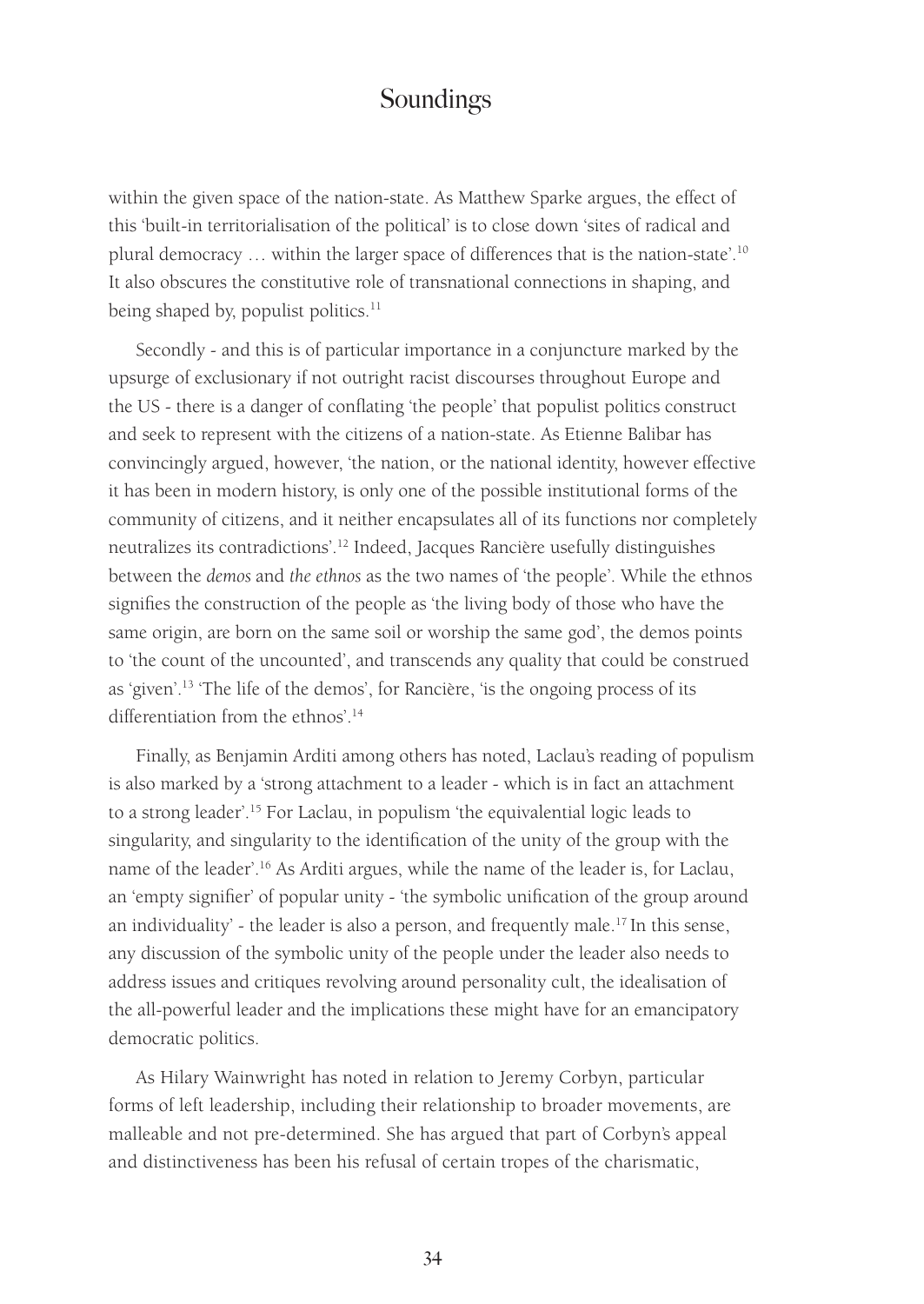within the given space of the nation-state. As Matthew Sparke argues, the effect of this 'built-in territorialisation of the political' is to close down 'sites of radical and plural democracy … within the larger space of differences that is the nation-state'.<sup>10</sup> It also obscures the constitutive role of transnational connections in shaping, and being shaped by, populist politics.<sup>11</sup>

Secondly - and this is of particular importance in a conjuncture marked by the upsurge of exclusionary if not outright racist discourses throughout Europe and the US - there is a danger of conflating 'the people' that populist politics construct and seek to represent with the citizens of a nation-state. As Etienne Balibar has convincingly argued, however, 'the nation, or the national identity, however effective it has been in modern history, is only one of the possible institutional forms of the community of citizens, and it neither encapsulates all of its functions nor completely neutralizes its contradictions'.<sup>12</sup> Indeed, Jacques Rancière usefully distinguishes between the *demos* and *the ethnos* as the two names of 'the people'. While the ethnos signifies the construction of the people as 'the living body of those who have the same origin, are born on the same soil or worship the same god', the demos points to 'the count of the uncounted', and transcends any quality that could be construed as 'given'.13 'The life of the demos', for Rancière, 'is the ongoing process of its differentiation from the ethnos'.14

Finally, as Benjamin Arditi among others has noted, Laclau's reading of populism is also marked by a 'strong attachment to a leader - which is in fact an attachment to a strong leader'.15 For Laclau, in populism 'the equivalential logic leads to singularity, and singularity to the identification of the unity of the group with the name of the leader'.16 As Arditi argues, while the name of the leader is, for Laclau, an 'empty signifier' of popular unity - 'the symbolic unification of the group around an individuality' - the leader is also a person, and frequently male.<sup>17</sup> In this sense, any discussion of the symbolic unity of the people under the leader also needs to address issues and critiques revolving around personality cult, the idealisation of the all-powerful leader and the implications these might have for an emancipatory democratic politics.

As Hilary Wainwright has noted in relation to Jeremy Corbyn, particular forms of left leadership, including their relationship to broader movements, are malleable and not pre-determined. She has argued that part of Corbyn's appeal and distinctiveness has been his refusal of certain tropes of the charismatic,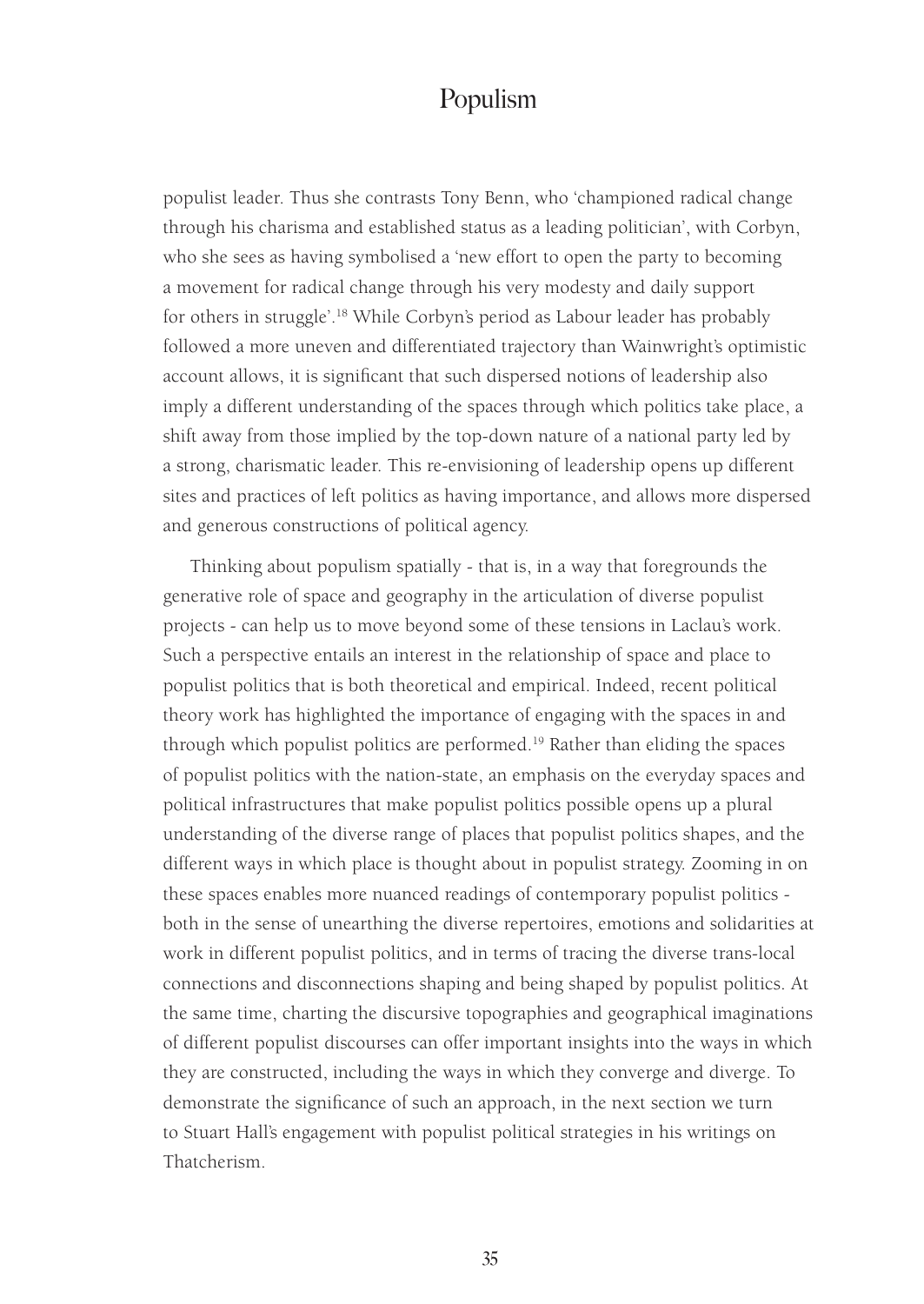populist leader. Thus she contrasts Tony Benn, who 'championed radical change through his charisma and established status as a leading politician', with Corbyn, who she sees as having symbolised a 'new effort to open the party to becoming a movement for radical change through his very modesty and daily support for others in struggle'.18 While Corbyn's period as Labour leader has probably followed a more uneven and differentiated trajectory than Wainwright's optimistic account allows, it is significant that such dispersed notions of leadership also imply a different understanding of the spaces through which politics take place, a shift away from those implied by the top-down nature of a national party led by a strong, charismatic leader. This re-envisioning of leadership opens up different sites and practices of left politics as having importance, and allows more dispersed and generous constructions of political agency.

Thinking about populism spatially - that is, in a way that foregrounds the generative role of space and geography in the articulation of diverse populist projects - can help us to move beyond some of these tensions in Laclau's work. Such a perspective entails an interest in the relationship of space and place to populist politics that is both theoretical and empirical. Indeed, recent political theory work has highlighted the importance of engaging with the spaces in and through which populist politics are performed.<sup>19</sup> Rather than eliding the spaces of populist politics with the nation-state, an emphasis on the everyday spaces and political infrastructures that make populist politics possible opens up a plural understanding of the diverse range of places that populist politics shapes, and the different ways in which place is thought about in populist strategy. Zooming in on these spaces enables more nuanced readings of contemporary populist politics both in the sense of unearthing the diverse repertoires, emotions and solidarities at work in different populist politics, and in terms of tracing the diverse trans-local connections and disconnections shaping and being shaped by populist politics. At the same time, charting the discursive topographies and geographical imaginations of different populist discourses can offer important insights into the ways in which they are constructed, including the ways in which they converge and diverge. To demonstrate the significance of such an approach, in the next section we turn to Stuart Hall's engagement with populist political strategies in his writings on Thatcherism.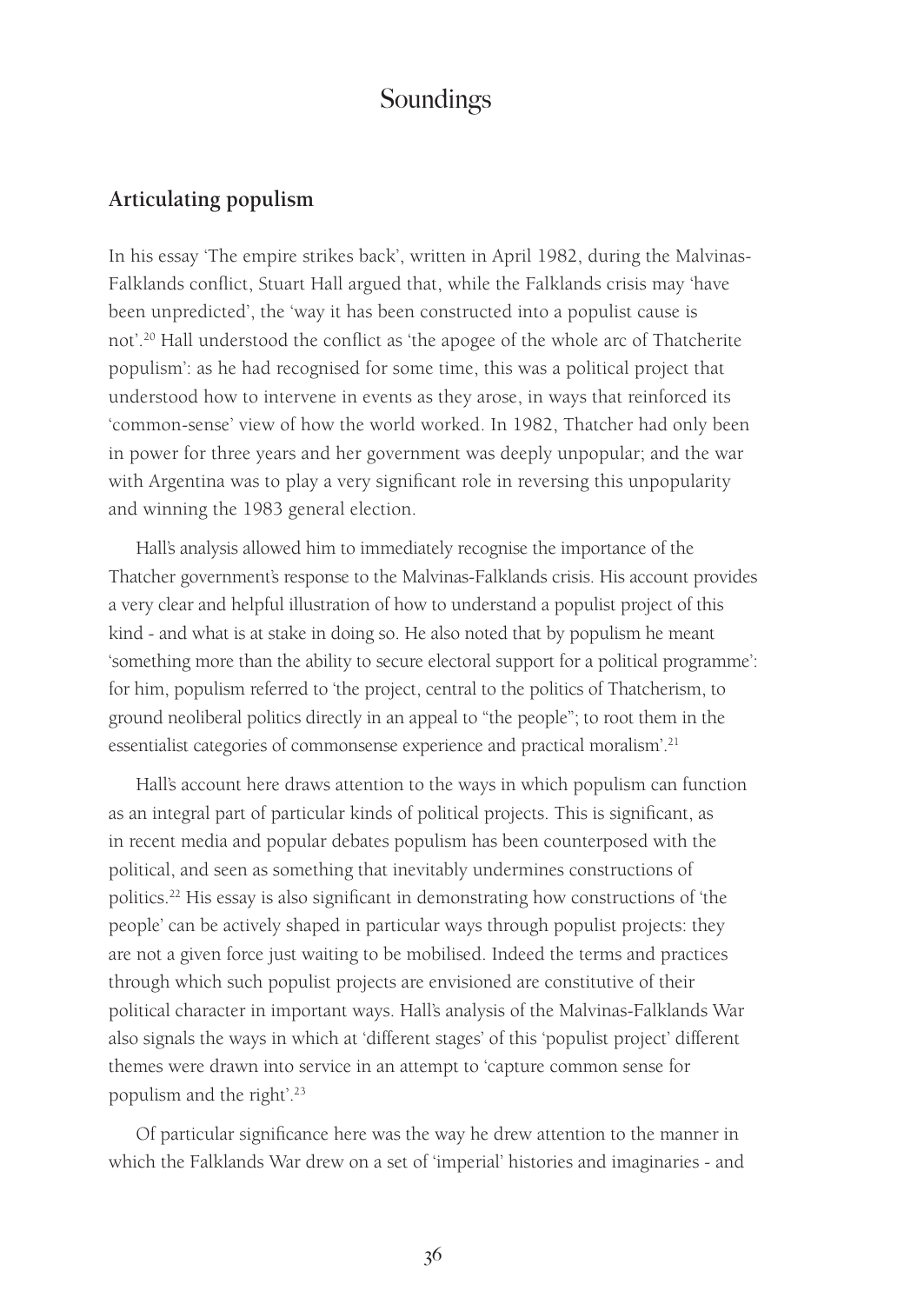#### **Articulating populism**

In his essay 'The empire strikes back', written in April 1982, during the Malvinas-Falklands conflict, Stuart Hall argued that, while the Falklands crisis may 'have been unpredicted', the 'way it has been constructed into a populist cause is not'.20 Hall understood the conflict as 'the apogee of the whole arc of Thatcherite populism': as he had recognised for some time, this was a political project that understood how to intervene in events as they arose, in ways that reinforced its 'common-sense' view of how the world worked. In 1982, Thatcher had only been in power for three years and her government was deeply unpopular; and the war with Argentina was to play a very significant role in reversing this unpopularity and winning the 1983 general election.

Hall's analysis allowed him to immediately recognise the importance of the Thatcher government's response to the Malvinas-Falklands crisis. His account provides a very clear and helpful illustration of how to understand a populist project of this kind - and what is at stake in doing so. He also noted that by populism he meant 'something more than the ability to secure electoral support for a political programme': for him, populism referred to 'the project, central to the politics of Thatcherism, to ground neoliberal politics directly in an appeal to "the people"; to root them in the essentialist categories of commonsense experience and practical moralism'.<sup>21</sup>

Hall's account here draws attention to the ways in which populism can function as an integral part of particular kinds of political projects. This is significant, as in recent media and popular debates populism has been counterposed with the political, and seen as something that inevitably undermines constructions of politics.22 His essay is also significant in demonstrating how constructions of 'the people' can be actively shaped in particular ways through populist projects: they are not a given force just waiting to be mobilised. Indeed the terms and practices through which such populist projects are envisioned are constitutive of their political character in important ways. Hall's analysis of the Malvinas-Falklands War also signals the ways in which at 'different stages' of this 'populist project' different themes were drawn into service in an attempt to 'capture common sense for populism and the right'.<sup>23</sup>

Of particular significance here was the way he drew attention to the manner in which the Falklands War drew on a set of 'imperial' histories and imaginaries - and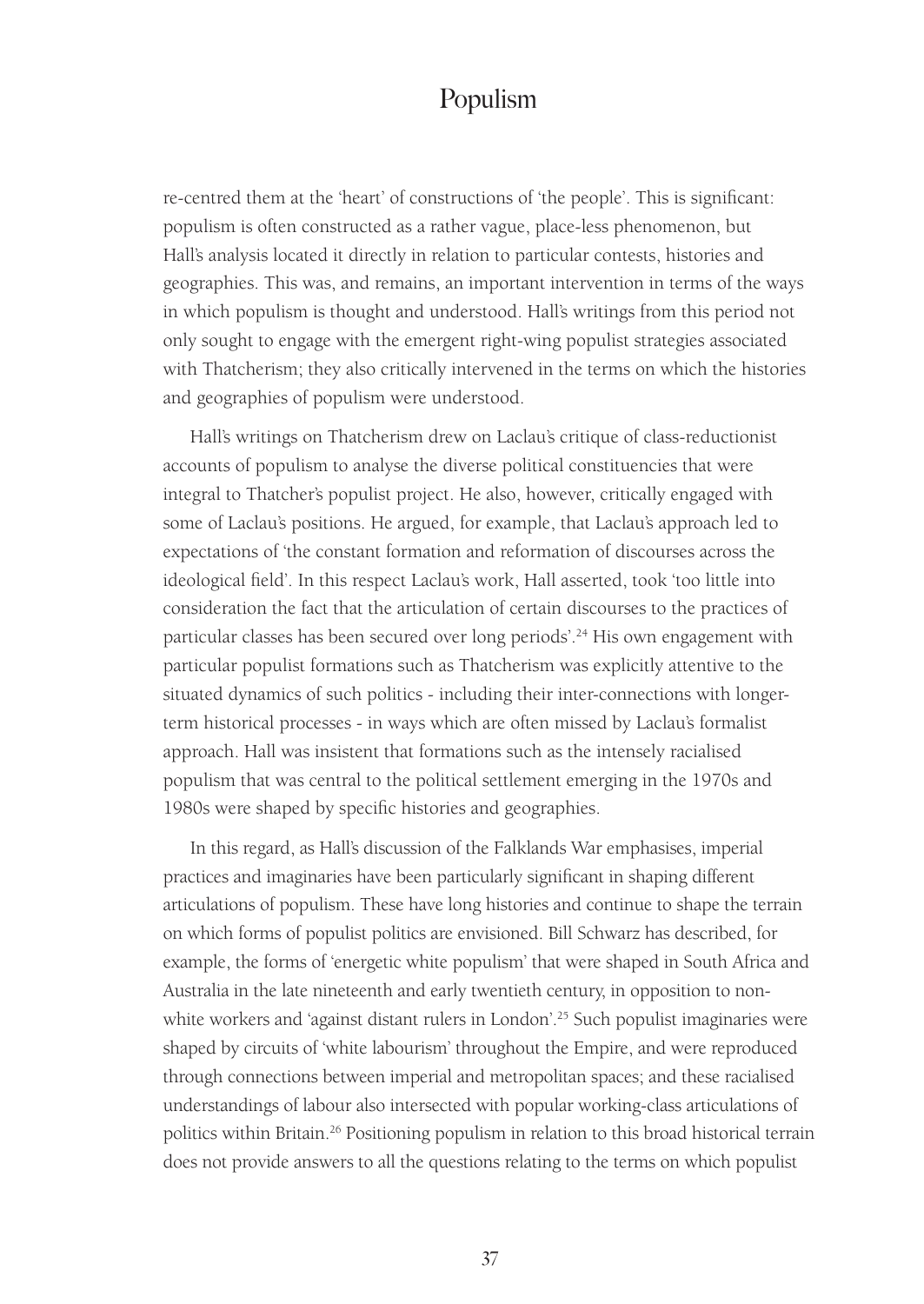re-centred them at the 'heart' of constructions of 'the people'. This is significant: populism is often constructed as a rather vague, place-less phenomenon, but Hall's analysis located it directly in relation to particular contests, histories and geographies. This was, and remains, an important intervention in terms of the ways in which populism is thought and understood. Hall's writings from this period not only sought to engage with the emergent right-wing populist strategies associated with Thatcherism; they also critically intervened in the terms on which the histories and geographies of populism were understood.

Hall's writings on Thatcherism drew on Laclau's critique of class-reductionist accounts of populism to analyse the diverse political constituencies that were integral to Thatcher's populist project. He also, however, critically engaged with some of Laclau's positions. He argued, for example, that Laclau's approach led to expectations of 'the constant formation and reformation of discourses across the ideological field'. In this respect Laclau's work, Hall asserted, took 'too little into consideration the fact that the articulation of certain discourses to the practices of particular classes has been secured over long periods'.<sup>24</sup> His own engagement with particular populist formations such as Thatcherism was explicitly attentive to the situated dynamics of such politics - including their inter-connections with longerterm historical processes - in ways which are often missed by Laclau's formalist approach. Hall was insistent that formations such as the intensely racialised populism that was central to the political settlement emerging in the 1970s and 1980s were shaped by specific histories and geographies.

In this regard, as Hall's discussion of the Falklands War emphasises, imperial practices and imaginaries have been particularly significant in shaping different articulations of populism. These have long histories and continue to shape the terrain on which forms of populist politics are envisioned. Bill Schwarz has described, for example, the forms of 'energetic white populism' that were shaped in South Africa and Australia in the late nineteenth and early twentieth century, in opposition to nonwhite workers and 'against distant rulers in London'.<sup>25</sup> Such populist imaginaries were shaped by circuits of 'white labourism' throughout the Empire, and were reproduced through connections between imperial and metropolitan spaces; and these racialised understandings of labour also intersected with popular working-class articulations of politics within Britain.<sup>26</sup> Positioning populism in relation to this broad historical terrain does not provide answers to all the questions relating to the terms on which populist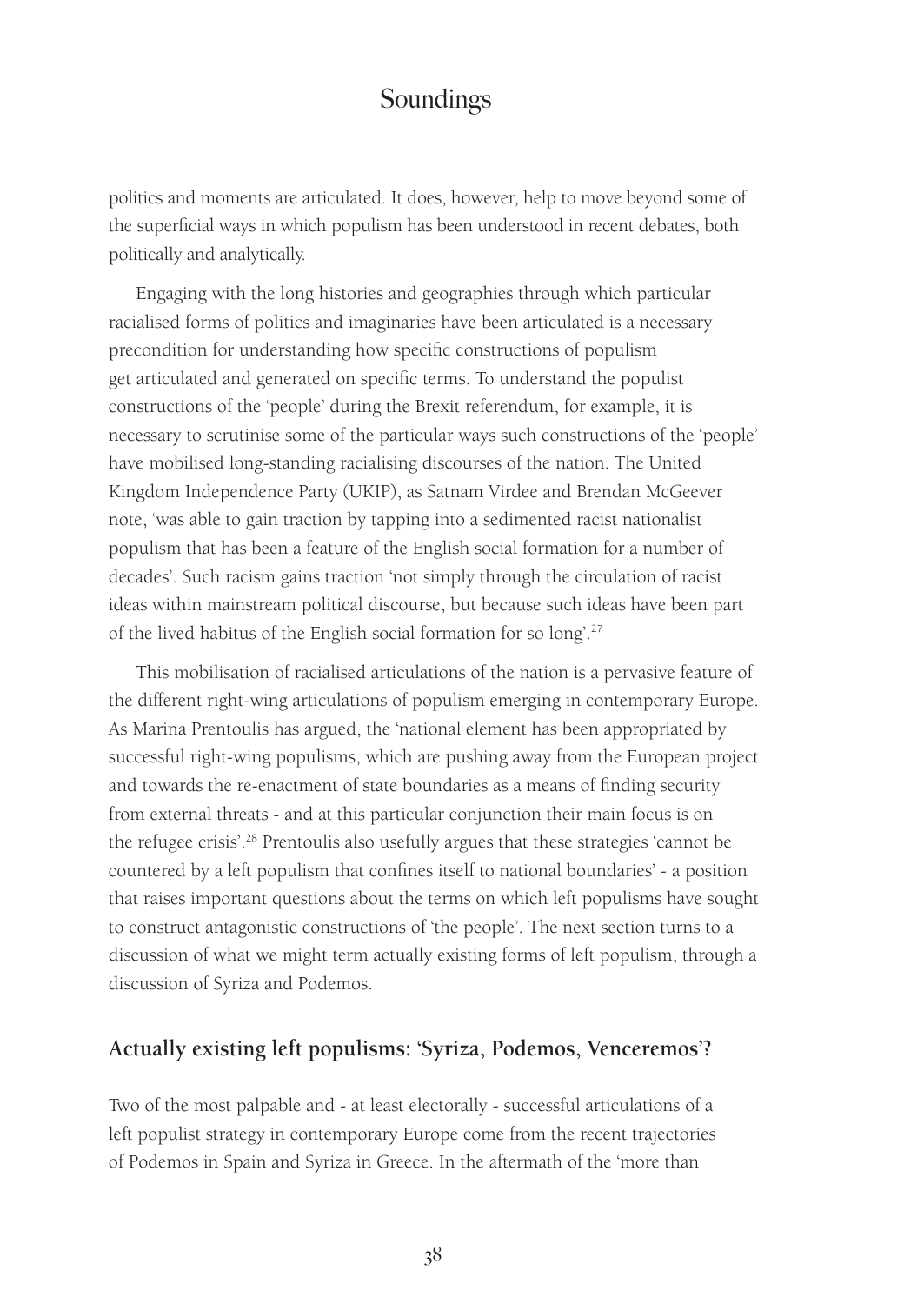politics and moments are articulated. It does, however, help to move beyond some of the superficial ways in which populism has been understood in recent debates, both politically and analytically.

Engaging with the long histories and geographies through which particular racialised forms of politics and imaginaries have been articulated is a necessary precondition for understanding how specific constructions of populism get articulated and generated on specific terms. To understand the populist constructions of the 'people' during the Brexit referendum, for example, it is necessary to scrutinise some of the particular ways such constructions of the 'people' have mobilised long-standing racialising discourses of the nation. The United Kingdom Independence Party (UKIP), as Satnam Virdee and Brendan McGeever note, 'was able to gain traction by tapping into a sedimented racist nationalist populism that has been a feature of the English social formation for a number of decades'. Such racism gains traction 'not simply through the circulation of racist ideas within mainstream political discourse, but because such ideas have been part of the lived habitus of the English social formation for so long'.<sup>27</sup>

This mobilisation of racialised articulations of the nation is a pervasive feature of the different right-wing articulations of populism emerging in contemporary Europe. As Marina Prentoulis has argued, the 'national element has been appropriated by successful right-wing populisms, which are pushing away from the European project and towards the re-enactment of state boundaries as a means of finding security from external threats - and at this particular conjunction their main focus is on the refugee crisis'.28 Prentoulis also usefully argues that these strategies 'cannot be countered by a left populism that confines itself to national boundaries' - a position that raises important questions about the terms on which left populisms have sought to construct antagonistic constructions of 'the people'. The next section turns to a discussion of what we might term actually existing forms of left populism, through a discussion of Syriza and Podemos.

#### **Actually existing left populisms: 'Syriza, Podemos, Venceremos'?**

Two of the most palpable and - at least electorally - successful articulations of a left populist strategy in contemporary Europe come from the recent trajectories of Podemos in Spain and Syriza in Greece. In the aftermath of the 'more than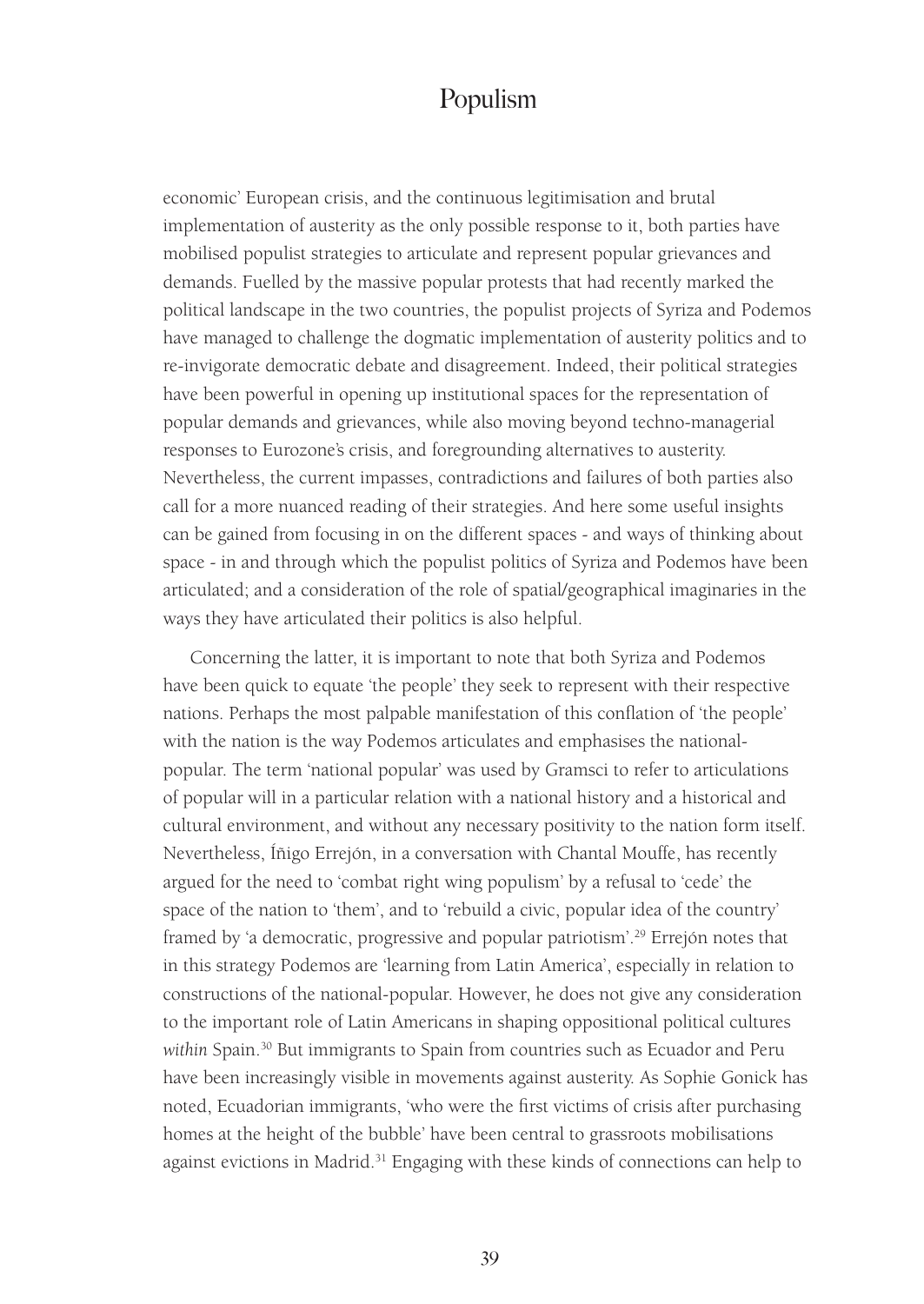economic' European crisis, and the continuous legitimisation and brutal implementation of austerity as the only possible response to it, both parties have mobilised populist strategies to articulate and represent popular grievances and demands. Fuelled by the massive popular protests that had recently marked the political landscape in the two countries, the populist projects of Syriza and Podemos have managed to challenge the dogmatic implementation of austerity politics and to re-invigorate democratic debate and disagreement. Indeed, their political strategies have been powerful in opening up institutional spaces for the representation of popular demands and grievances, while also moving beyond techno-managerial responses to Eurozone's crisis, and foregrounding alternatives to austerity. Nevertheless, the current impasses, contradictions and failures of both parties also call for a more nuanced reading of their strategies. And here some useful insights can be gained from focusing in on the different spaces - and ways of thinking about space - in and through which the populist politics of Syriza and Podemos have been articulated; and a consideration of the role of spatial/geographical imaginaries in the ways they have articulated their politics is also helpful.

Concerning the latter, it is important to note that both Syriza and Podemos have been quick to equate 'the people' they seek to represent with their respective nations. Perhaps the most palpable manifestation of this conflation of 'the people' with the nation is the way Podemos articulates and emphasises the nationalpopular. The term 'national popular' was used by Gramsci to refer to articulations of popular will in a particular relation with a national history and a historical and cultural environment, and without any necessary positivity to the nation form itself. Nevertheless, Íñigo Errejón, in a conversation with Chantal Mouffe, has recently argued for the need to 'combat right wing populism' by a refusal to 'cede' the space of the nation to 'them', and to 'rebuild a civic, popular idea of the country' framed by 'a democratic, progressive and popular patriotism'.<sup>29</sup> Errejón notes that in this strategy Podemos are 'learning from Latin America', especially in relation to constructions of the national-popular. However, he does not give any consideration to the important role of Latin Americans in shaping oppositional political cultures within Spain.<sup>30</sup> But immigrants to Spain from countries such as Ecuador and Peru have been increasingly visible in movements against austerity. As Sophie Gonick has noted, Ecuadorian immigrants, 'who were the first victims of crisis after purchasing homes at the height of the bubble' have been central to grassroots mobilisations against evictions in Madrid.<sup>31</sup> Engaging with these kinds of connections can help to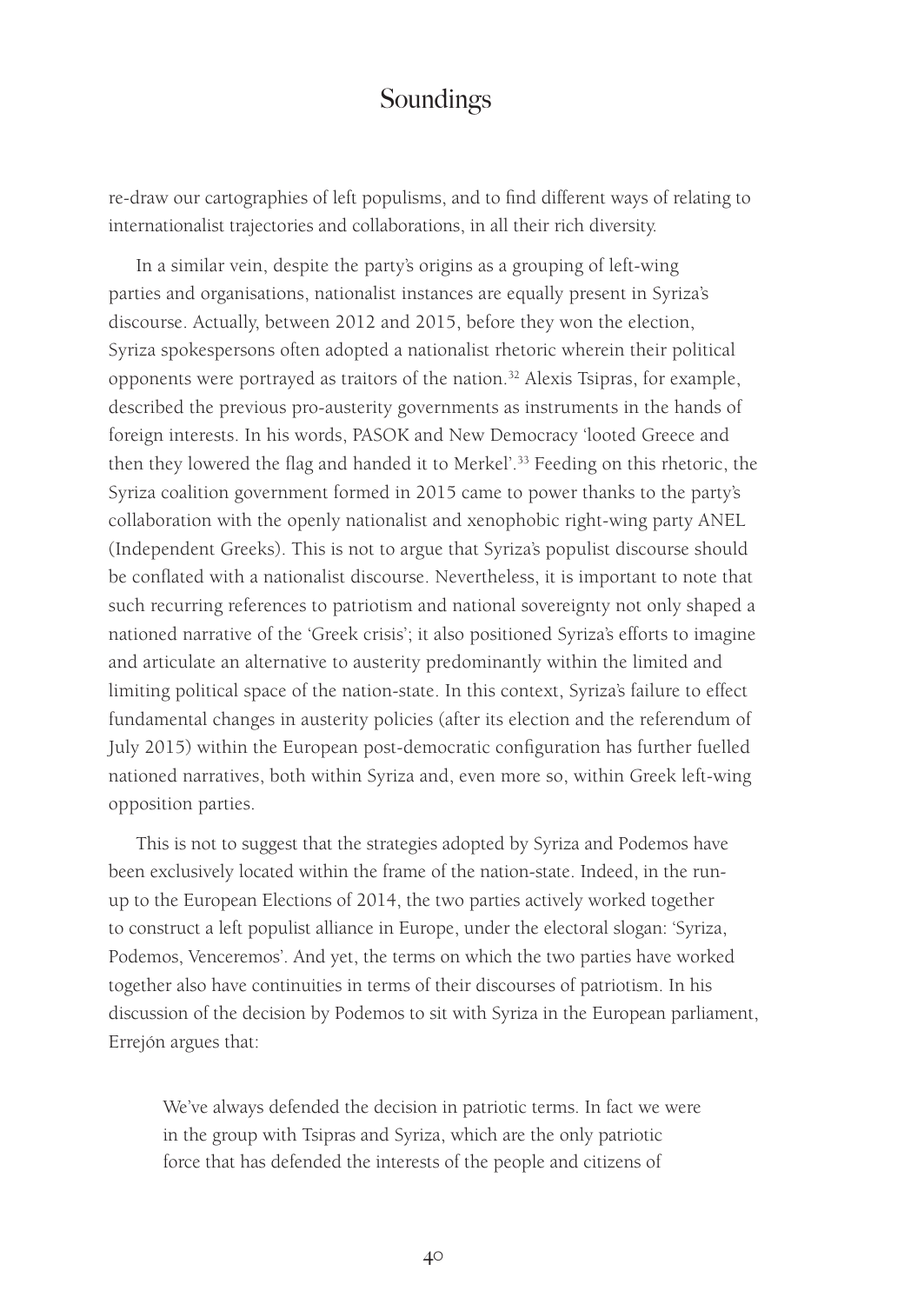re-draw our cartographies of left populisms, and to find different ways of relating to internationalist trajectories and collaborations, in all their rich diversity.

In a similar vein, despite the party's origins as a grouping of left-wing parties and organisations, nationalist instances are equally present in Syriza's discourse. Actually, between 2012 and 2015, before they won the election, Syriza spokespersons often adopted a nationalist rhetoric wherein their political opponents were portrayed as traitors of the nation.32 Alexis Tsipras, for example, described the previous pro-austerity governments as instruments in the hands of foreign interests. In his words, PASOK and New Democracy 'looted Greece and then they lowered the flag and handed it to Merkel'.33 Feeding on this rhetoric, the Syriza coalition government formed in 2015 came to power thanks to the party's collaboration with the openly nationalist and xenophobic right-wing party ANEL (Independent Greeks). This is not to argue that Syriza's populist discourse should be conflated with a nationalist discourse. Nevertheless, it is important to note that such recurring references to patriotism and national sovereignty not only shaped a nationed narrative of the 'Greek crisis'; it also positioned Syriza's efforts to imagine and articulate an alternative to austerity predominantly within the limited and limiting political space of the nation-state. In this context, Syriza's failure to effect fundamental changes in austerity policies (after its election and the referendum of July 2015) within the European post-democratic configuration has further fuelled nationed narratives, both within Syriza and, even more so, within Greek left-wing opposition parties.

This is not to suggest that the strategies adopted by Syriza and Podemos have been exclusively located within the frame of the nation-state. Indeed, in the runup to the European Elections of 2014, the two parties actively worked together to construct a left populist alliance in Europe, under the electoral slogan: 'Syriza, Podemos, Venceremos'. And yet, the terms on which the two parties have worked together also have continuities in terms of their discourses of patriotism. In his discussion of the decision by Podemos to sit with Syriza in the European parliament, Errejón argues that:

We've always defended the decision in patriotic terms. In fact we were in the group with Tsipras and Syriza, which are the only patriotic force that has defended the interests of the people and citizens of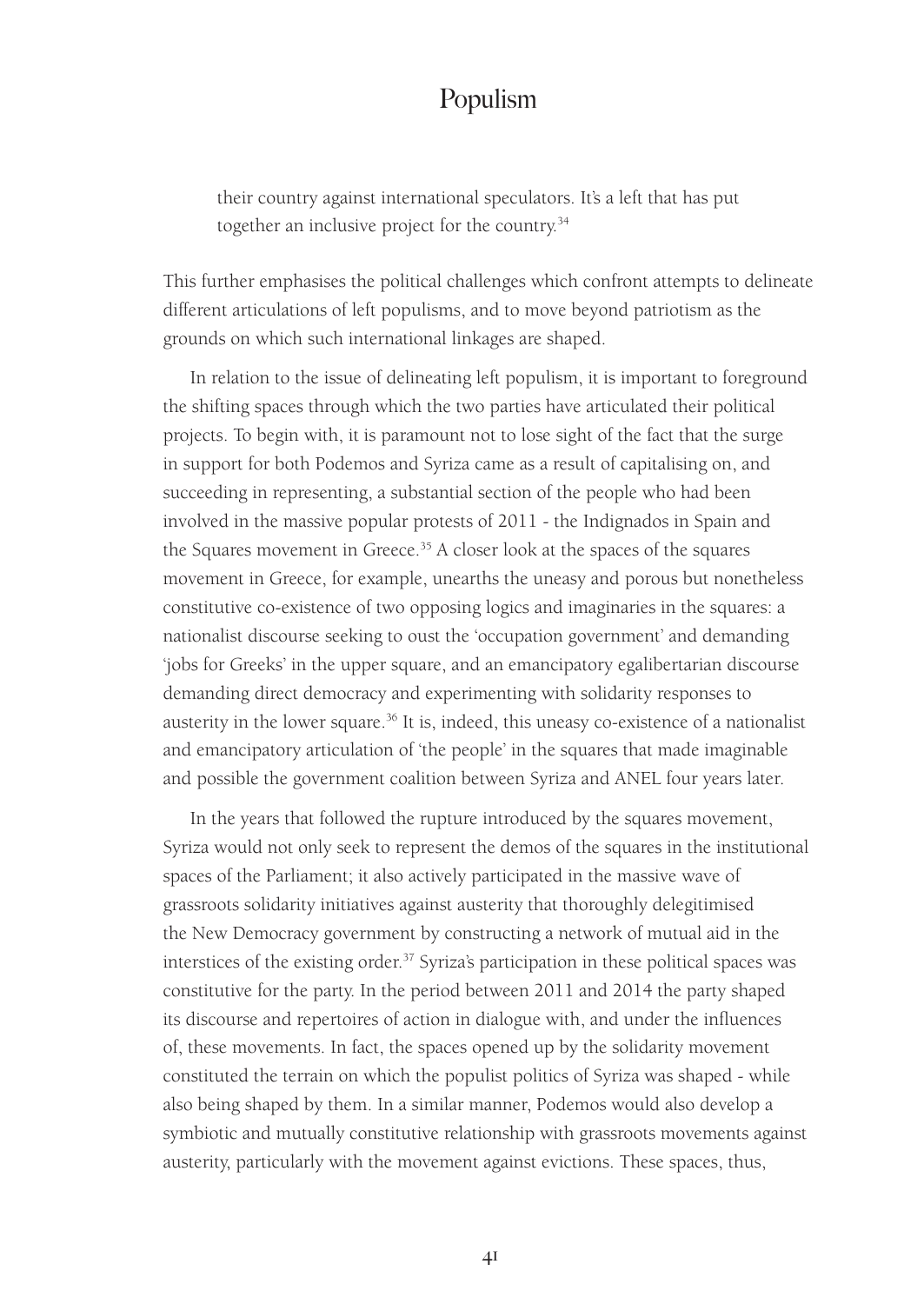their country against international speculators. It's a left that has put together an inclusive project for the country.<sup>34</sup>

This further emphasises the political challenges which confront attempts to delineate different articulations of left populisms, and to move beyond patriotism as the grounds on which such international linkages are shaped.

In relation to the issue of delineating left populism, it is important to foreground the shifting spaces through which the two parties have articulated their political projects. To begin with, it is paramount not to lose sight of the fact that the surge in support for both Podemos and Syriza came as a result of capitalising on, and succeeding in representing, a substantial section of the people who had been involved in the massive popular protests of 2011 - the Indignados in Spain and the Squares movement in Greece.<sup>35</sup> A closer look at the spaces of the squares movement in Greece, for example, unearths the uneasy and porous but nonetheless constitutive co-existence of two opposing logics and imaginaries in the squares: a nationalist discourse seeking to oust the 'occupation government' and demanding 'jobs for Greeks' in the upper square, and an emancipatory egalibertarian discourse demanding direct democracy and experimenting with solidarity responses to austerity in the lower square.<sup>36</sup> It is, indeed, this uneasy co-existence of a nationalist and emancipatory articulation of 'the people' in the squares that made imaginable and possible the government coalition between Syriza and ANEL four years later.

In the years that followed the rupture introduced by the squares movement, Syriza would not only seek to represent the demos of the squares in the institutional spaces of the Parliament; it also actively participated in the massive wave of grassroots solidarity initiatives against austerity that thoroughly delegitimised the New Democracy government by constructing a network of mutual aid in the interstices of the existing order.<sup>37</sup> Syriza's participation in these political spaces was constitutive for the party. In the period between 2011 and 2014 the party shaped its discourse and repertoires of action in dialogue with, and under the influences of, these movements. In fact, the spaces opened up by the solidarity movement constituted the terrain on which the populist politics of Syriza was shaped - while also being shaped by them. In a similar manner, Podemos would also develop a symbiotic and mutually constitutive relationship with grassroots movements against austerity, particularly with the movement against evictions. These spaces, thus,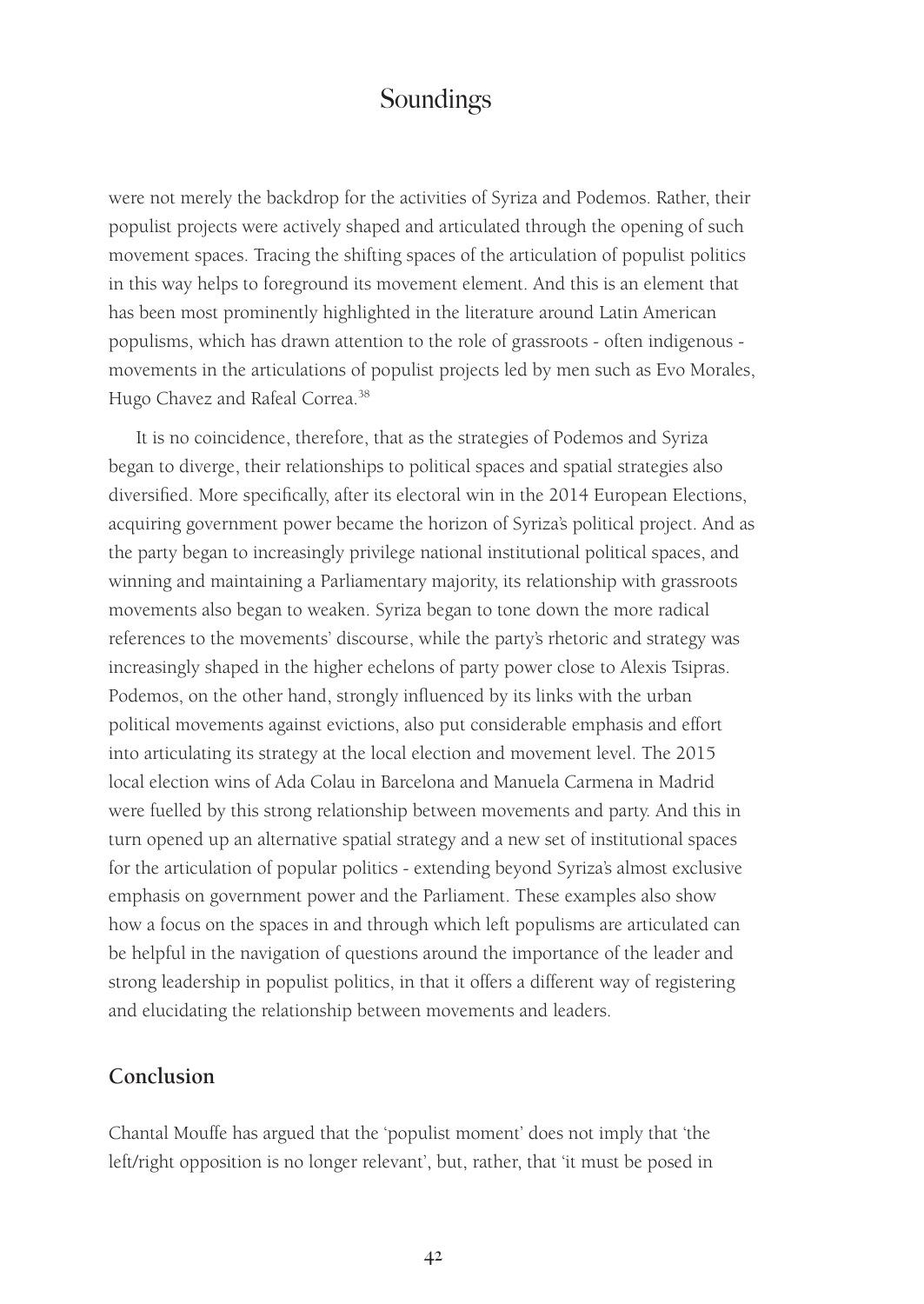were not merely the backdrop for the activities of Syriza and Podemos. Rather, their populist projects were actively shaped and articulated through the opening of such movement spaces. Tracing the shifting spaces of the articulation of populist politics in this way helps to foreground its movement element. And this is an element that has been most prominently highlighted in the literature around Latin American populisms, which has drawn attention to the role of grassroots - often indigenous movements in the articulations of populist projects led by men such as Evo Morales, Hugo Chavez and Rafeal Correa.<sup>38</sup>

It is no coincidence, therefore, that as the strategies of Podemos and Syriza began to diverge, their relationships to political spaces and spatial strategies also diversified. More specifically, after its electoral win in the 2014 European Elections, acquiring government power became the horizon of Syriza's political project. And as the party began to increasingly privilege national institutional political spaces, and winning and maintaining a Parliamentary majority, its relationship with grassroots movements also began to weaken. Syriza began to tone down the more radical references to the movements' discourse, while the party's rhetoric and strategy was increasingly shaped in the higher echelons of party power close to Alexis Tsipras. Podemos, on the other hand, strongly influenced by its links with the urban political movements against evictions, also put considerable emphasis and effort into articulating its strategy at the local election and movement level. The 2015 local election wins of Ada Colau in Barcelona and Manuela Carmena in Madrid were fuelled by this strong relationship between movements and party. And this in turn opened up an alternative spatial strategy and a new set of institutional spaces for the articulation of popular politics - extending beyond Syriza's almost exclusive emphasis on government power and the Parliament. These examples also show how a focus on the spaces in and through which left populisms are articulated can be helpful in the navigation of questions around the importance of the leader and strong leadership in populist politics, in that it offers a different way of registering and elucidating the relationship between movements and leaders.

#### **Conclusion**

Chantal Mouffe has argued that the 'populist moment' does not imply that 'the left/right opposition is no longer relevant', but, rather, that 'it must be posed in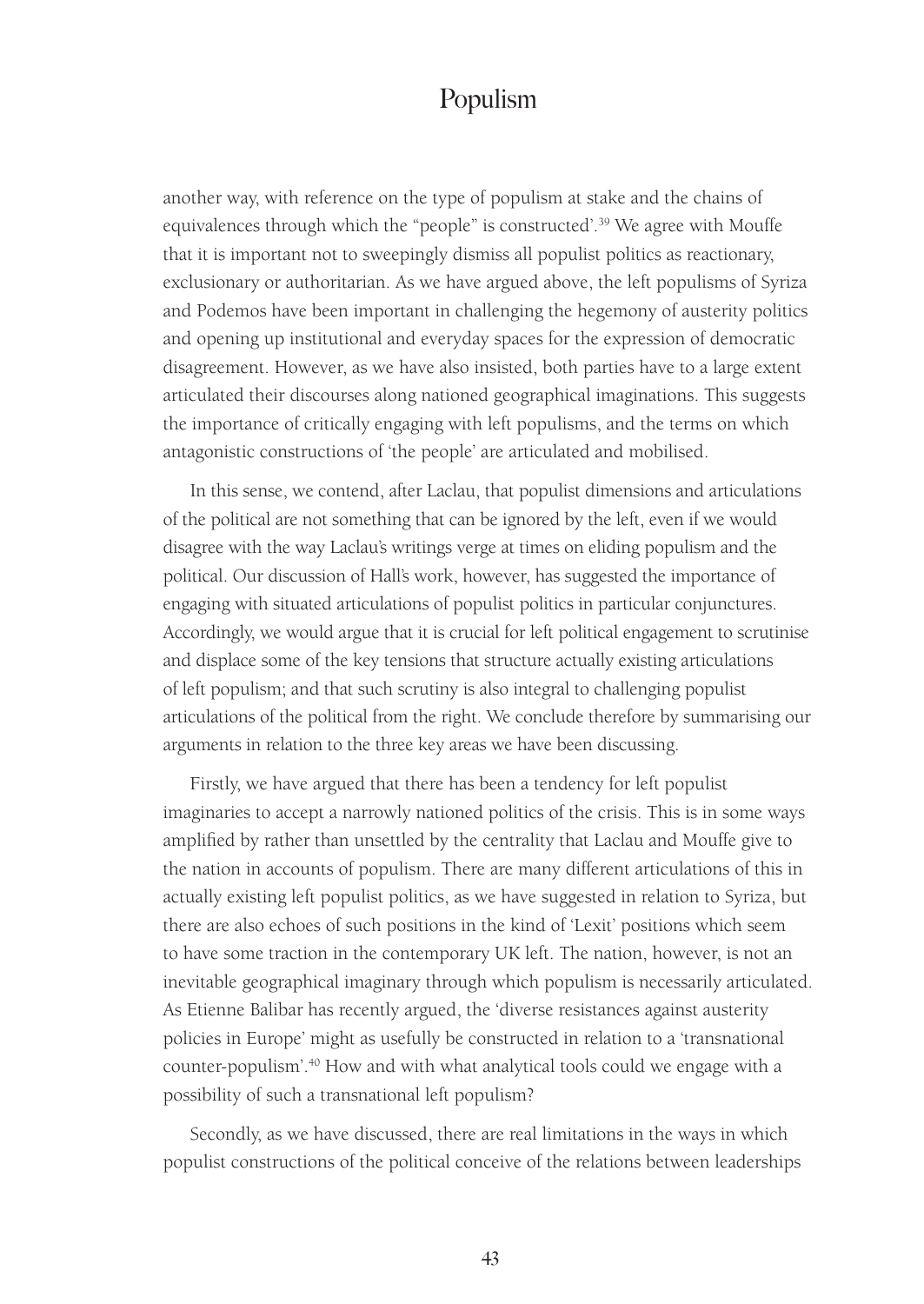another way, with reference on the type of populism at stake and the chains of equivalences through which the "people" is constructed'.<sup>39</sup> We agree with Mouffe that it is important not to sweepingly dismiss all populist politics as reactionary, exclusionary or authoritarian. As we have argued above, the left populisms of Syriza and Podemos have been important in challenging the hegemony of austerity politics and opening up institutional and everyday spaces for the expression of democratic disagreement. However, as we have also insisted, both parties have to a large extent articulated their discourses along nationed geographical imaginations. This suggests the importance of critically engaging with left populisms, and the terms on which antagonistic constructions of 'the people' are articulated and mobilised.

In this sense, we contend, after Laclau, that populist dimensions and articulations of the political are not something that can be ignored by the left, even if we would disagree with the way Laclau's writings verge at times on eliding populism and the political. Our discussion of Hall's work, however, has suggested the importance of engaging with situated articulations of populist politics in particular conjunctures. Accordingly, we would argue that it is crucial for left political engagement to scrutinise and displace some of the key tensions that structure actually existing articulations of left populism; and that such scrutiny is also integral to challenging populist articulations of the political from the right. We conclude therefore by summarising our arguments in relation to the three key areas we have been discussing.

Firstly, we have argued that there has been a tendency for left populist imaginaries to accept a narrowly nationed politics of the crisis. This is in some ways amplified by rather than unsettled by the centrality that Laclau and Mouffe give to the nation in accounts of populism. There are many different articulations of this in actually existing left populist politics, as we have suggested in relation to Syriza, but there are also echoes of such positions in the kind of 'Lexit' positions which seem to have some traction in the contemporary UK left. The nation, however, is not an inevitable geographical imaginary through which populism is necessarily articulated. As Etienne Balibar has recently argued, the 'diverse resistances against austerity policies in Europe' might as usefully be constructed in relation to a 'transnational counter-populism'.40 How and with what analytical tools could we engage with a possibility of such a transnational left populism?

Secondly, as we have discussed, there are real limitations in the ways in which populist constructions of the political conceive of the relations between leaderships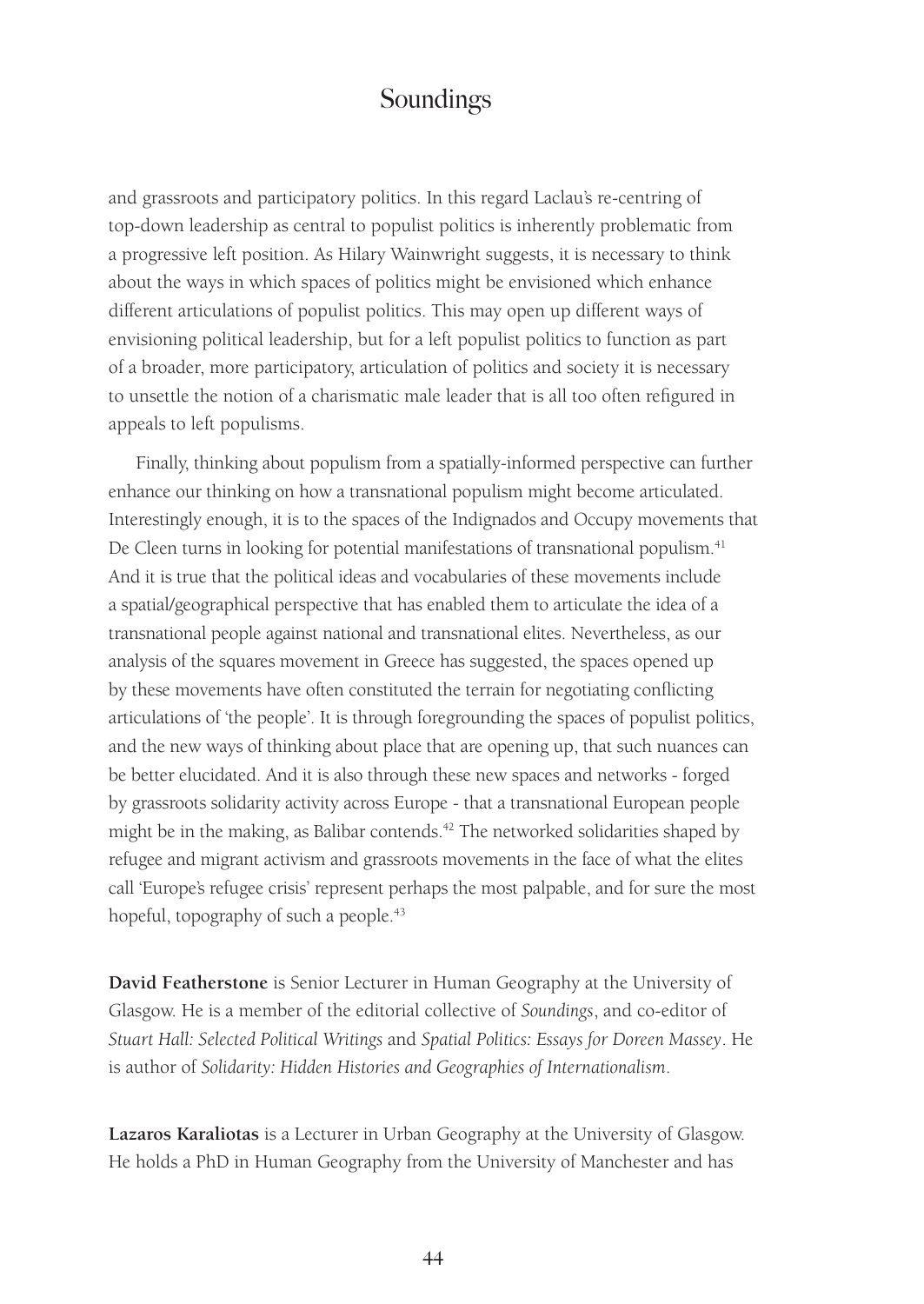and grassroots and participatory politics. In this regard Laclau's re-centring of top-down leadership as central to populist politics is inherently problematic from a progressive left position. As Hilary Wainwright suggests, it is necessary to think about the ways in which spaces of politics might be envisioned which enhance different articulations of populist politics. This may open up different ways of envisioning political leadership, but for a left populist politics to function as part of a broader, more participatory, articulation of politics and society it is necessary to unsettle the notion of a charismatic male leader that is all too often refigured in appeals to left populisms.

Finally, thinking about populism from a spatially-informed perspective can further enhance our thinking on how a transnational populism might become articulated. Interestingly enough, it is to the spaces of the Indignados and Occupy movements that De Cleen turns in looking for potential manifestations of transnational populism.<sup>41</sup> And it is true that the political ideas and vocabularies of these movements include a spatial/geographical perspective that has enabled them to articulate the idea of a transnational people against national and transnational elites. Nevertheless, as our analysis of the squares movement in Greece has suggested, the spaces opened up by these movements have often constituted the terrain for negotiating conflicting articulations of 'the people'. It is through foregrounding the spaces of populist politics, and the new ways of thinking about place that are opening up, that such nuances can be better elucidated. And it is also through these new spaces and networks - forged by grassroots solidarity activity across Europe - that a transnational European people might be in the making, as Balibar contends.<sup>42</sup> The networked solidarities shaped by refugee and migrant activism and grassroots movements in the face of what the elites call 'Europe's refugee crisis' represent perhaps the most palpable, and for sure the most hopeful, topography of such a people.<sup>43</sup>

**David Featherstone** is Senior Lecturer in Human Geography at the University of Glasgow. He is a member of the editorial collective of *Soundings*, and co-editor of *Stuart Hall: Selected Political Writings* and *Spatial Politics: Essays for Doreen Massey*. He is author of *Solidarity: Hidden Histories and Geographies of Internationalism*.

**Lazaros Karaliotas** is a Lecturer in Urban Geography at the University of Glasgow. He holds a PhD in Human Geography from the University of Manchester and has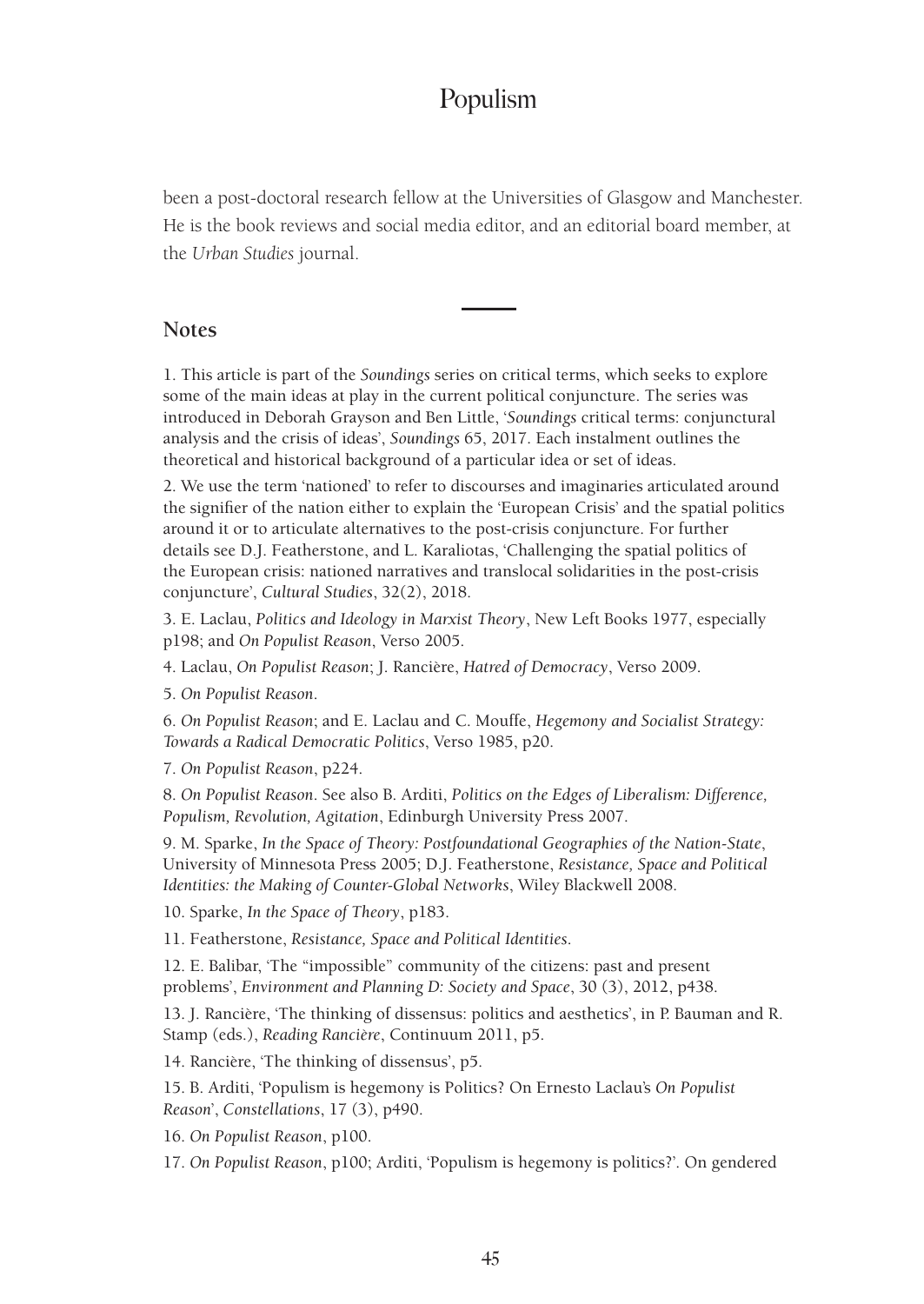been a post-doctoral research fellow at the Universities of Glasgow and Manchester. He is the book reviews and social media editor, and an editorial board member, at the *Urban Studies* journal.

#### **Notes**

1. This article is part of the *Soundings* series on critical terms, which seeks to explore some of the main ideas at play in the current political conjuncture. The series was introduced in Deborah Grayson and Ben Little, '*Soundings* critical terms: conjunctural analysis and the crisis of ideas', *Soundings* 65, 2017. Each instalment outlines the theoretical and historical background of a particular idea or set of ideas.

2. We use the term 'nationed' to refer to discourses and imaginaries articulated around the signifier of the nation either to explain the 'European Crisis' and the spatial politics around it or to articulate alternatives to the post-crisis conjuncture. For further details see D.J. Featherstone, and L. Karaliotas, 'Challenging the spatial politics of the European crisis: nationed narratives and translocal solidarities in the post-crisis conjuncture', *Cultural Studies*, 32(2), 2018.

3. E. Laclau, *Politics and Ideology in Marxist Theory*, New Left Books 1977, especially p198; and *On Populist Reason*, Verso 2005.

4. Laclau, *On Populist Reason*; J. Rancière, *Hatred of Democracy*, Verso 2009.

5. *On Populist Reason*.

6. *On Populist Reason*; and E. Laclau and C. Mouffe, *Hegemony and Socialist Strategy: Towards a Radical Democratic Politics*, Verso 1985, p20.

7. *On Populist Reason*, p224.

8. *On Populist Reason*. See also B. Arditi, *Politics on the Edges of Liberalism: Difference, Populism, Revolution, Agitation*, Edinburgh University Press 2007.

9. M. Sparke, *In the Space of Theory: Postfoundational Geographies of the Nation-State*, University of Minnesota Press 2005; D.J. Featherstone, *Resistance, Space and Political Identities: the Making of Counter-Global Networks*, Wiley Blackwell 2008.

10. Sparke, *In the Space of Theory*, p183.

11. Featherstone, *Resistance, Space and Political Identities*.

12. E. Balibar, 'The "impossible" community of the citizens: past and present problems', *Environment and Planning D: Society and Space*, 30 (3), 2012, p438.

13. J. Rancière, 'The thinking of dissensus: politics and aesthetics', in P. Bauman and R. Stamp (eds.), *Reading Rancière*, Continuum 2011, p5.

14. Rancière, 'The thinking of dissensus', p5.

15. B. Arditi, 'Populism is hegemony is Politics? On Ernesto Laclau's *On Populist Reason*', *Constellations*, 17 (3), p490.

16. *On Populist Reason*, p100.

17. *On Populist Reason*, p100; Arditi, 'Populism is hegemony is politics?'*.* On gendered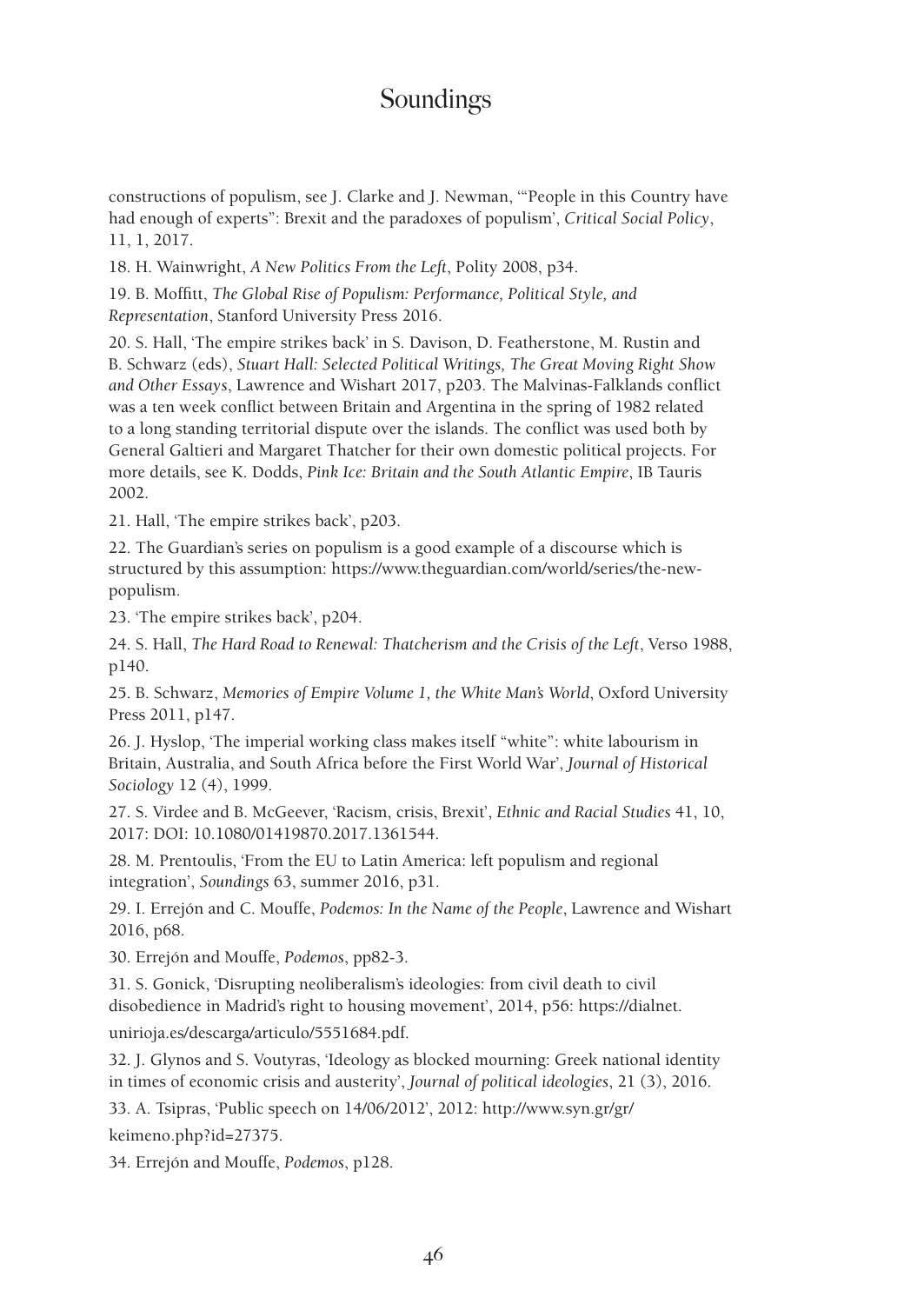constructions of populism, see J. Clarke and J. Newman, '"People in this Country have had enough of experts": Brexit and the paradoxes of populism', *Critical Social Policy*, 11, 1, 2017.

18. H. Wainwright, *A New Politics From the Left*, Polity 2008, p34.

19. B. Moffitt, *The Global Rise of Populism: Performance, Political Style, and Representation*, Stanford University Press 2016.

20. S. Hall, 'The empire strikes back' in S. Davison, D. Featherstone, M. Rustin and B. Schwarz (eds), *Stuart Hall: Selected Political Writings, The Great Moving Right Show and Other Essays*, Lawrence and Wishart 2017, p203. The Malvinas-Falklands conflict was a ten week conflict between Britain and Argentina in the spring of 1982 related to a long standing territorial dispute over the islands. The conflict was used both by General Galtieri and Margaret Thatcher for their own domestic political projects. For more details, see K. Dodds, *Pink Ice: Britain and the South Atlantic Empire*, IB Tauris 2002.

21. Hall, 'The empire strikes back', p203.

22. The Guardian's series on populism is a good example of a discourse which is structured by this assumption: https://www.theguardian.com/world/series/the-newpopulism.

23. 'The empire strikes back', p204.

24. S. Hall, *The Hard Road to Renewal: Thatcherism and the Crisis of the Left*, Verso 1988, p140.

25. B. Schwarz, *Memories of Empire Volume 1, the White Man's World*, Oxford University Press 2011, p147.

26. J. Hyslop, 'The imperial working class makes itself "white": white labourism in Britain, Australia, and South Africa before the First World War', *Journal of Historical Sociology* 12 (4), 1999.

27. S. Virdee and B. McGeever, 'Racism, crisis, Brexit', *Ethnic and Racial Studies* 41, 10, 2017: DOI: 10.1080/01419870.2017.1361544.

28. M. Prentoulis, 'From the EU to Latin America: left populism and regional integration', *Soundings* 63, summer 2016, p31.

29. I. Errejón and C. Mouffe, *Podemos: In the Name of the People*, Lawrence and Wishart 2016, p68.

30. Errejón and Mouffe, *Podemos*, pp82-3.

31. S. Gonick, 'Disrupting neoliberalism's ideologies: from civil death to civil disobedience in Madrid's right to housing movement', 2014, p56: https://dialnet.

unirioja.es/descarga/articulo/5551684.pdf.

32. J. Glynos and S. Voutyras, 'Ideology as blocked mourning: Greek national identity in times of economic crisis and austerity', *Journal of political ideologies*, 21 (3), 2016.

33. A. Tsipras, 'Public speech on 14/06/2012', 2012: http://www.syn.gr/gr/

keimeno.php?id=27375.

34. Errejón and Mouffe, *Podemos*, p128.